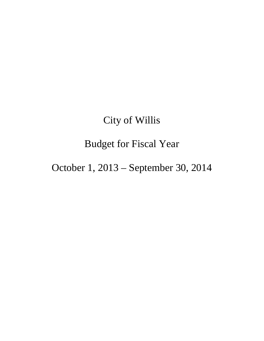# City of Willis

# Budget for Fiscal Year

# October 1, 2013 – September 30, 2014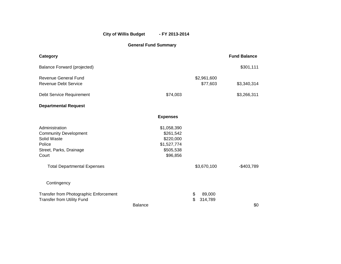## City of Willis Budget - FY 2013-2014

## **General Fund Summary**

| Category                                                                                                                                          |                                                                               |                                | <b>Fund Balance</b> |
|---------------------------------------------------------------------------------------------------------------------------------------------------|-------------------------------------------------------------------------------|--------------------------------|---------------------|
| Balance Forward (projected)                                                                                                                       |                                                                               |                                | \$301,111           |
| <b>Revenue General Fund</b><br><b>Revenue Debt Service</b>                                                                                        |                                                                               | \$2,961,600<br>\$77,603        | \$3,340,314         |
| Debt Service Requirement                                                                                                                          | \$74,003                                                                      |                                | \$3,266,311         |
| <b>Departmental Request</b>                                                                                                                       |                                                                               |                                |                     |
|                                                                                                                                                   | <b>Expenses</b>                                                               |                                |                     |
| Administration<br><b>Community Development</b><br>Solid Waste<br>Police<br>Street, Parks, Drainage<br>Court<br><b>Total Departmental Expenses</b> | \$1,058,390<br>\$261,542<br>\$220,000<br>\$1,527,774<br>\$505,538<br>\$96,856 | \$3,670,100                    | $-$403,789$         |
| Contingency                                                                                                                                       |                                                                               |                                |                     |
| Transfer from Photographic Enforcement<br><b>Transfer from Utility Fund</b>                                                                       | <b>Balance</b>                                                                | \$<br>89,000<br>\$.<br>314,789 | \$0                 |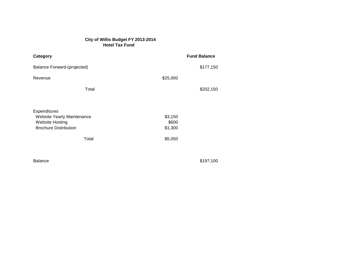### **City of Willis Budget FY 2013-2014 Hotel Tax Fund Hotel**

| Category                                                                                                      | <b>Fund Balance</b>                    |
|---------------------------------------------------------------------------------------------------------------|----------------------------------------|
| Balance Forward-(projected)                                                                                   | \$177,150                              |
| Revenue                                                                                                       | \$25,000                               |
| Total                                                                                                         | \$202,150                              |
| Expenditures<br>Website Yearly Maintenance<br><b>Website Hosting</b><br><b>Brochure Distribution</b><br>Total | \$3,150<br>\$600<br>\$1,300<br>\$5,050 |

Balance \$197,100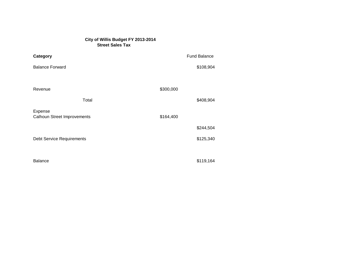### **City of Willis Budget FY 2013-2014 Street Sales Tax**

| Category                                      | <b>Fund Balance</b> |  |
|-----------------------------------------------|---------------------|--|
| <b>Balance Forward</b>                        | \$108,904           |  |
|                                               |                     |  |
| Revenue                                       | \$300,000           |  |
| Total                                         | \$408,904           |  |
| Expense<br><b>Calhoun Street Improvements</b> | \$164,400           |  |
|                                               | \$244,504           |  |
| <b>Debt Service Requirements</b>              | \$125,340           |  |
|                                               |                     |  |
| <b>Balance</b>                                | \$119,164           |  |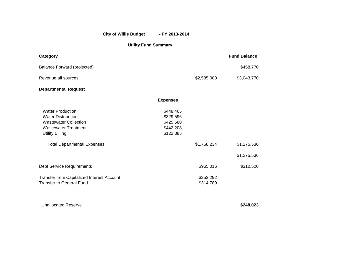## City of Willis Budget - FY 2013-2014

## **Utility Fund Summary**

| Category                                                                                                                                      |                                                               |                        | <b>Fund Balance</b> |
|-----------------------------------------------------------------------------------------------------------------------------------------------|---------------------------------------------------------------|------------------------|---------------------|
| <b>Balance Forward (projected)</b>                                                                                                            |                                                               |                        | \$458,770           |
| Revenue all sources                                                                                                                           |                                                               | \$2,585,000            | \$3,043,770         |
| <b>Departmental Request</b>                                                                                                                   |                                                               |                        |                     |
|                                                                                                                                               | <b>Expenses</b>                                               |                        |                     |
| <b>Water Production</b><br><b>Water Distribution</b><br><b>Wastewater Collection</b><br><b>Wastewater Treatment</b><br><b>Utility Billing</b> | \$448,465<br>\$329,596<br>\$425,580<br>\$442,208<br>\$122,385 |                        |                     |
| <b>Total Departmental Expenses</b>                                                                                                            |                                                               | \$1,768,234            | \$1,275,536         |
|                                                                                                                                               |                                                               |                        | \$1,275,536         |
| <b>Debt Service Requirements</b>                                                                                                              |                                                               | \$965,016              | \$310,520           |
| Transfer from Capitalized Interest Account<br><b>Transfer to General Fund</b>                                                                 |                                                               | \$252,292<br>\$314,789 |                     |

Unallocated Reserve **\$248,023**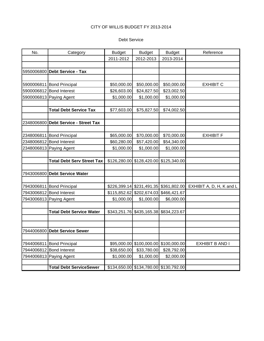#### Debt Service

| No.        | Category                                              | <b>Budget</b>              | <b>Budget</b>                                          | <b>Budget</b> | Reference                             |
|------------|-------------------------------------------------------|----------------------------|--------------------------------------------------------|---------------|---------------------------------------|
|            |                                                       | 2011-2012                  | 2012-2013                                              | 2013-2014     |                                       |
|            |                                                       |                            |                                                        |               |                                       |
| 5950006800 | <b>Debt Service - Tax</b>                             |                            |                                                        |               |                                       |
|            |                                                       |                            |                                                        |               |                                       |
|            | 5900006811 Bond Principal                             | \$50,000.00                | \$50,000.00                                            | \$50,000.00   | <b>EXHIBIT C</b>                      |
|            | 5900006812 Bond Interest                              | \$26,603.00                | \$24,827.50                                            | \$23,002.50   |                                       |
|            | 5900006813 Paying Agent                               | \$1,000.00                 | \$1,000.00                                             | \$1,000.00    |                                       |
|            |                                                       |                            |                                                        |               |                                       |
|            | <b>Total Debt Service Tax</b>                         | \$77,603.00                | \$75,827.50                                            | \$74,002.50   |                                       |
|            |                                                       |                            |                                                        |               |                                       |
| 2348006800 | <b>Debt Service - Street Tax</b>                      |                            |                                                        |               |                                       |
|            |                                                       |                            |                                                        |               |                                       |
|            | 2348006811 Bond Principal                             | \$65,000.00                | \$70,000.00                                            | \$70,000.00   | <b>EXHIBIT F</b>                      |
|            | 2348006812 Bond Interest                              | \$60,280.00                | \$57,420.00                                            | \$54,340.00   |                                       |
|            | 2348006813 Paying Agent                               | \$1,000.00                 | \$1,000.00                                             | \$1,000.00    |                                       |
|            |                                                       |                            |                                                        |               |                                       |
|            | <b>Total Debt Serv Street Tax</b>                     | \$126,280.00               | \$128,420.00                                           | \$125,340.00  |                                       |
|            |                                                       |                            |                                                        |               |                                       |
| 7943006800 | <b>Debt Service Water</b>                             |                            |                                                        |               |                                       |
|            |                                                       |                            |                                                        |               |                                       |
|            | 7943006811 Bond Principal<br>7943006812 Bond Interest |                            | \$226,399.14 \$231,491.35<br>\$202,674.03 \$466,421.67 |               | \$361,802.00 EXHIBIT A, D, H, K and L |
|            |                                                       | \$115,852.62<br>\$1,000.00 | \$1,000.00                                             | \$6,000.00    |                                       |
|            | 7943006813 Paying Agent                               |                            |                                                        |               |                                       |
|            | <b>Total Debt Service Water</b>                       | \$343,251.76               | \$435,165.38                                           | \$834,223.67  |                                       |
|            |                                                       |                            |                                                        |               |                                       |
|            |                                                       |                            |                                                        |               |                                       |
| 7944006800 | <b>Debt Service Sewer</b>                             |                            |                                                        |               |                                       |
|            |                                                       |                            |                                                        |               |                                       |
|            | 7944006811 Bond Principal                             |                            | \$95,000.00 \$100,000.00 \$100,000.00                  |               | EXHIBIT B AND I                       |
|            | 7944006812 Bond Interest                              | \$38,650.00                | \$33,780.00                                            | \$28,792.00   |                                       |
|            | 7944006813 Paying Agent                               | \$1,000.00                 | \$1,000.00                                             | \$2,000.00    |                                       |
|            |                                                       |                            |                                                        |               |                                       |
|            | <b>Total Debt ServiceSewer</b>                        |                            | \$134,650.00 \$134,780.00 \$130,792.00                 |               |                                       |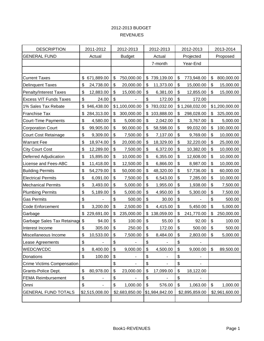## 2012-2013 BUDGET REVENUES

| <b>DESCRIPTION</b>            | 2011-2012        |                           | 2012-2013      | 2012-2013        | 2012-2013        |                | 2013-2014      |
|-------------------------------|------------------|---------------------------|----------------|------------------|------------------|----------------|----------------|
| <b>GENERAL FUND</b>           | Actual           |                           | <b>Budget</b>  | Actual           | Projected        |                | Proposed       |
|                               |                  |                           |                | 7-month          | Year-End         |                |                |
|                               |                  |                           |                |                  |                  |                |                |
| <b>Current Taxes</b>          | \$<br>671,889.00 | \$                        | 750,000.00     | \$<br>739,139.00 | \$<br>773,948.00 | \$             | 800,000.00     |
| <b>Delinquent Taxes</b>       | \$<br>24,738.00  | $\boldsymbol{\mathsf{S}}$ | 20,000.00      | \$<br>11,373.00  | \$<br>15,000.00  | \$             | 15,000.00      |
| <b>Penalty/Interest Taxes</b> | \$<br>12,883.00  | \$                        | 15,000.00      | \$<br>6,381.00   | \$<br>12,855.00  | \$             | 15,000.00      |
| <b>Excess VIT Funds Taxes</b> | \$<br>24.00      | \$                        |                | \$<br>172.00     | \$<br>172.00     |                |                |
| 1% Sales Tax Rebate           | \$<br>946,438.00 |                           | \$1,100,000.00 | \$<br>783,032.00 | \$1,268,032.00   |                | \$1,200,000.00 |
| Franchise Tax                 | \$<br>284,313.00 | \$                        | 300,000.00     | \$<br>103,888.00 | \$<br>298,028.00 | \$             | 325,000.00     |
| <b>Court-Time Payments</b>    | \$<br>4,580.00   | $\boldsymbol{\mathsf{S}}$ | 5,000.00       | \$<br>2,042.00   | \$<br>3,767.00   | \$             | 5,000.00       |
| <b>Corporation Court</b>      | \$<br>99,905.00  | \$                        | 90,000.00      | \$<br>58,598.00  | \$<br>99,032.00  | \$             | 100,000.00     |
| <b>Court Cost Retainage</b>   | \$<br>9,309.00   | $\boldsymbol{\mathsf{S}}$ | 7,500.00       | \$<br>7,137.00   | \$<br>9,769.00   | \$             | 10,000.00      |
| <b>Warrant Fee</b>            | \$<br>18,974.00  | \$                        | 20,000.00      | \$<br>18,329.00  | \$<br>32,220.00  | \$             | 25,000.00      |
| <b>City Court Cost</b>        | \$<br>12,289.00  | $\boldsymbol{\mathsf{S}}$ | 7,500.00       | \$<br>6,372.00   | \$<br>10,382.00  | \$             | 10,000.00      |
| Deferred Adjudication         | \$<br>15,895.00  | \$                        | 10,000.00      | \$<br>6,355.00   | \$<br>12,608.00  | \$             | 10,000.00      |
| License and Fees-ABC          | \$<br>11,418.00  | \$                        | 12,500.00      | \$<br>6,866.00   | \$<br>8,987.00   | \$             | 10,000.00      |
| <b>Building Permits</b>       | \$<br>54,279.00  | \$                        | 50,000.00      | \$<br>48,320.00  | \$<br>57,736.00  | \$             | 60,000.00      |
| <b>Electrical Permits</b>     | \$<br>6,091.00   | $\boldsymbol{\mathsf{S}}$ | 7,500.00       | \$<br>6,543.00   | \$<br>7,285.00   | \$             | 10,000.00      |
| <b>Mechanical Permits</b>     | \$<br>3,493.00   | \$                        | 5,000.00       | \$<br>1,955.00   | \$<br>1,938.00   | \$             | 7,500.00       |
| <b>Plumbing Permits</b>       | \$<br>5,189.00   | \$                        | 5,000.00       | \$<br>4,950.00   | \$<br>5,300.00   | \$             | 7,500.00       |
| <b>Gas Permits</b>            | \$               | \$                        | 500.00         | \$<br>30.00      | \$               | \$             | 500.00         |
| <b>Code Enforcement</b>       | \$<br>3,200.00   | $\boldsymbol{\mathsf{S}}$ | 2,500.00       | \$<br>4,415.00   | \$<br>5,450.00   | \$             | 5,000.00       |
| Garbage                       | \$<br>229,691.00 | \$                        | 235,000.00     | \$<br>138,059.00 | \$<br>241,770.00 | \$             | 250,000.00     |
| Garbage Sales Tax Retainag    | \$<br>94.00      | \$                        | 100.00         | \$<br>55.00      | \$<br>92.00      | \$             | 100.00         |
| Interest Income               | \$<br>305.00     | \$                        | 250.00         | \$<br>172.00     | \$<br>500.00     | \$             | 500.00         |
| Miscellaneous Income          | \$<br>10,533.00  | \$                        | 7,500.00       | \$<br>8,484.00   | \$<br>2,803.00   | \$             | 5,000.00       |
| Lease Agreements              | \$<br>ä,         | $\boldsymbol{\mathsf{S}}$ | ÷,             | \$<br>÷,         | \$               |                |                |
| WEDC/WCDC                     | \$<br>8,400.00   | \$                        | 9,000.00       | \$<br>4,500.00   | \$<br>9,000.00   | \$             | 89,500.00      |
| Donations                     | \$<br>100.00     | \$                        |                | \$               | \$               |                |                |
| Crime Victims Compensation    |                  | $\boldsymbol{\mathsf{S}}$ |                | \$               | \$               |                |                |
| Grants-Police Dept.           | \$<br>80,978.00  | \$                        | 23,000.00      | \$<br>17,099.00  | \$<br>18,122.00  |                |                |
| <b>FEMA Reimbursement</b>     | \$               | \$                        |                | \$               | \$               |                |                |
| Omni                          | \$               | \$                        | 1,000.00       | \$<br>576.00     | \$<br>1,063.00   | \$             | 1,000.00       |
| <b>GENERAL FUND TOTALS</b>    | \$2,515,008.00   |                           | \$2,683,850.00 | \$1,984,842.00   | \$2,895,859.00   | \$2,961,600.00 |                |
|                               |                  |                           |                |                  |                  |                |                |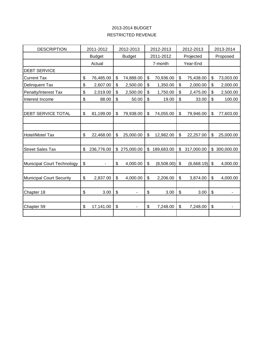## RESTRICTED REVENUE 2013-2014 BUDGET

| <b>DESCRIPTION</b>              | 2011-2012                      | 2012-2013       |                           | 2012-2013  | 2012-2013        |                           | 2013-2014  |
|---------------------------------|--------------------------------|-----------------|---------------------------|------------|------------------|---------------------------|------------|
|                                 | <b>Budget</b>                  | <b>Budget</b>   |                           | 2011-2012  | Projected        |                           | Proposed   |
|                                 | Actual                         |                 |                           | 7-month    | Year-End         |                           |            |
| <b>DEBT SERVICE</b>             |                                |                 |                           |            |                  |                           |            |
| <b>Current Tax</b>              | \$<br>76,485.00                | \$<br>74,888.00 | \$                        | 70,936.00  | \$<br>75,438.00  | \$                        | 73,003.00  |
| Delinquent Tax                  | \$<br>2,607.00                 | \$<br>2,500.00  | \$                        | 1,350.00   | \$<br>2,000.00   | \$                        | 2,000.00   |
| Penalty/Interest Tax            | \$<br>2,019.00                 | \$<br>2,500.00  | \$                        | 1,750.00   | \$<br>2,475.00   | \$                        | 2,500.00   |
| Interest Income                 | \$<br>88.00                    | \$<br>50.00     | \$                        | 19.00      | \$<br>33.00      | \$                        | 100.00     |
|                                 |                                |                 |                           |            |                  |                           |            |
| <b>DEBT SERVICE TOTAL</b>       | \$<br>81,199.00                | \$<br>79,938.00 | \$                        | 74,055.00  | \$<br>79,946.00  | \$                        | 77,603.00  |
|                                 |                                |                 |                           |            |                  |                           |            |
|                                 |                                |                 |                           |            |                  |                           |            |
| <b>Hotel/Motel Tax</b>          | \$<br>22,468.00                | \$<br>25,000.00 | \$                        | 12,982.00  | \$<br>22,257.00  | \$                        | 25,000.00  |
|                                 |                                |                 |                           |            |                  |                           |            |
| <b>Street Sales Tax</b>         | \$<br>236,776.00               | \$275,000.00    | \$                        | 189,683.00 | \$<br>317,000.00 | \$                        | 300,000.00 |
|                                 |                                |                 |                           |            |                  |                           |            |
| Municipal Court Technology      | \$<br>$\overline{\phantom{a}}$ | \$<br>4,000.00  | \$                        | (8,508.00) | \$<br>(6,668.19) | \$                        | 4,000.00   |
|                                 |                                |                 |                           |            |                  |                           |            |
| <b>Municipal Court Security</b> | \$<br>2,837.00                 | \$<br>4,000.00  | $\mathfrak{S}$            | 2,206.00   | \$<br>3,874.00   | \$                        | 4,000.00   |
|                                 |                                |                 |                           |            |                  |                           |            |
| Chapter 18                      | \$<br>3.00                     | \$              | $\boldsymbol{\mathsf{S}}$ | 3.00       | \$<br>3.00       | $\boldsymbol{\mathsf{S}}$ |            |
|                                 |                                |                 |                           |            |                  |                           |            |
| Chapter 59                      | \$<br>17,141.00                | \$<br>٠         | \$                        | 7,248.00   | \$<br>7,248.00   | \$                        | ۰          |
|                                 |                                |                 |                           |            |                  |                           |            |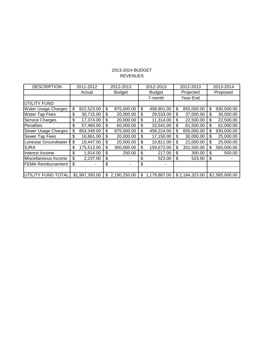## 2013-2014 BUDGET REVENUES

| <b>DESCRIPTION</b>         | 2011-2012        | 2012-2013          | 2012-2013          | 2012-2013 |                | 2013-2014        |
|----------------------------|------------------|--------------------|--------------------|-----------|----------------|------------------|
|                            | Actual           | <b>Budget</b>      | <b>Budget</b>      |           | Projected      | Proposed         |
|                            |                  |                    | 7-month            |           | Year-End       |                  |
| <b>UTILITY FUND</b>        |                  |                    |                    |           |                |                  |
| <b>Water Usage Charges</b> | \$<br>822,523.00 | \$<br>875,000.00   | \$<br>458,901.00   | \$        | 855,000.00     | \$<br>930,000.00 |
| <b>Water Tap Fees</b>      | \$<br>30,715.00  | \$<br>20,000.00    | \$<br>29,533.00    | \$        | 37,000.00      | \$<br>30,000.00  |
| <b>Service Charges</b>     | \$<br>17,374.00  | \$<br>20,000.00    | \$<br>11,314.00    | \$        | 22,500.00      | \$<br>22,500.00  |
| Penalties                  | \$<br>57,460.00  | \$<br>60,000.00    | \$<br>33,541.00    | \$        | 61,500.00      | \$<br>62,000.00  |
| <b>Sewer Usage Charges</b> | \$<br>854,349.00 | \$<br>875,000.00   | \$<br>458,224.00   | \$        | 855,000.00     | \$<br>930,000.00 |
| <b>Sewer Tap Fees</b>      | \$<br>16,861.00  | \$<br>20,000.00    | \$<br>17,150.00    | \$        | 30,000.00      | \$<br>25,000.00  |
| Lonestar Groundwater       | \$<br>18,447.00  | \$<br>20,000.00    | \$<br>10,811.00    | \$        | 21,000.00      | \$<br>25,000.00  |
| <b>SJRA</b>                | \$<br>175,513.00 | \$<br>300,000.00   | \$<br>159,673.00   | \$        | 301,500.00     | \$<br>560,000.00 |
| Interest Income            | \$<br>1,914.00   | \$<br>250.00       | \$<br>217.00       |           | 300.00         | \$<br>500.00     |
| Miscellaneous Income       | \$<br>2,237.00   | \$                 | \$<br>523.00       | \$        | 523.00         | \$               |
| <b>FEMA Reimbursement</b>  | \$               | \$                 | \$                 |           |                |                  |
|                            |                  |                    |                    |           |                |                  |
| UTILITY FUND TOTAL         | \$1,997,393.00   | \$<br>2,190,250.00 | \$<br>1,179,887.00 |           | \$2,184,323.00 | \$2,585,000.00   |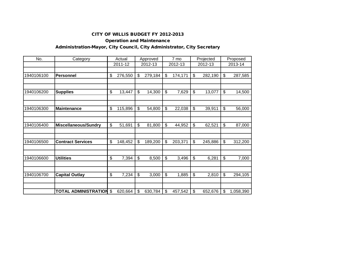### Operation and Maintenance

## Administration-Mayor, City Council, City Administrator, City Secretary

| No.        | Category                    | Actual        | Approved      | 7 mo          | Projected     | Proposed        |
|------------|-----------------------------|---------------|---------------|---------------|---------------|-----------------|
|            |                             | 2011-12       | 2012-13       | 2012-13       | 2012-13       | 2013-14         |
|            |                             |               |               |               |               |                 |
| 1940106100 | <b>Personnel</b>            | \$<br>276,550 | \$<br>279,184 | \$<br>174,171 | \$<br>282,190 | \$<br>287,585   |
|            |                             |               |               |               |               |                 |
| 1940106200 | <b>Supplies</b>             | \$<br>13,447  | \$<br>14,300  | \$<br>7,629   | \$<br>13,077  | \$<br>14,500    |
|            |                             |               |               |               |               |                 |
|            |                             |               |               |               |               |                 |
| 1940106300 | <b>Maintenance</b>          | \$<br>115,896 | \$<br>54,800  | \$<br>22,038  | \$<br>39,911  | \$<br>56,000    |
|            |                             |               |               |               |               |                 |
|            |                             |               |               |               |               |                 |
| 1940106400 | <b>Miscellaneous/Sundry</b> | \$<br>51,691  | \$<br>81,800  | \$<br>44,952  | \$<br>62,521  | \$<br>87,000    |
|            |                             |               |               |               |               |                 |
| 1940106500 | <b>Contract Services</b>    | \$<br>148,452 | \$<br>189,200 | \$<br>203,371 | \$<br>245,886 | \$<br>312,200   |
|            |                             |               |               |               |               |                 |
|            |                             |               |               |               |               |                 |
| 1940106600 | <b>Utilities</b>            | \$<br>7,394   | \$<br>8,500   | \$<br>3,496   | \$<br>6,281   | \$<br>7,000     |
|            |                             |               |               |               |               |                 |
|            |                             |               |               |               |               |                 |
| 1940106700 | <b>Capital Outlay</b>       | \$<br>7,234   | \$<br>3,000   | \$<br>1,885   | \$<br>2,810   | \$<br>294,105   |
|            |                             |               |               |               |               |                 |
|            | <b>TOTAL ADMINISTRATION</b> | \$<br>620,664 | \$<br>630,784 | \$<br>457,542 | \$<br>652,676 | \$<br>1,058,390 |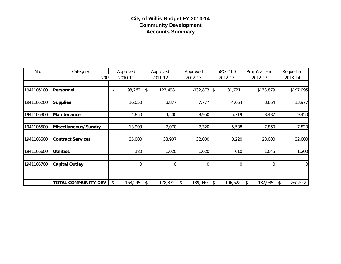## **City of Willis Budget FY 2013-14 Community Development Accounts Summary**

| No.        | Category                   | Approved      | Approved      | Approved      | 58% YTD       | Proj Year End            | Requested      |
|------------|----------------------------|---------------|---------------|---------------|---------------|--------------------------|----------------|
|            | 200                        | 2010-11       | 2011-12       | 2012-13       | 2012-13       | 2012-13                  | 2013-14        |
|            |                            |               |               |               |               |                          |                |
| 1941106100 | Personnel                  | 98,262<br>\$  | \$<br>123,498 | \$132,873     | \$<br>81,721  | \$133,879                | \$197,095      |
|            |                            |               |               |               |               |                          |                |
| 1941106200 | <b>Supplies</b>            | 16,050        | 8,877         | 7,777         | 4,664         | 8,664                    | 13,977         |
|            |                            |               |               |               |               |                          |                |
| 1941106300 | Maintenance                | 4,850         | 4,500         | 8,950         | 5,719         | 8,487                    | 9,450          |
|            |                            |               |               |               |               |                          |                |
| 1941106500 | Miscellaneous/Sundry       | 13,903        | 7,070         | 7,320         | 5,588         | 7,860                    | 7,820          |
|            |                            |               |               |               |               |                          |                |
| 1941106500 | <b>Contract Services</b>   | 35,000        | 33,907        | 32,000        | 8,220         | 28,000                   | 32,000         |
|            |                            |               |               |               |               |                          |                |
| 1941106600 | <b>Utilities</b>           | 180           | 1,020         | 1,020         | 610           | 1,045                    | 1,200          |
|            |                            |               |               |               |               |                          |                |
| 1941106700 | <b>Capital Outlay</b>      | 0             |               | $\mathbf 0$   |               | 0                        | $\overline{0}$ |
|            |                            |               |               |               |               |                          |                |
|            |                            |               |               |               |               |                          |                |
|            | <b>TOTAL COMMUNITY DEV</b> | \$<br>168,245 | 178,872<br>\$ | \$<br>189,940 | 106,522<br>\$ | $\sqrt[6]{2}$<br>187,935 | 261,542<br>\$  |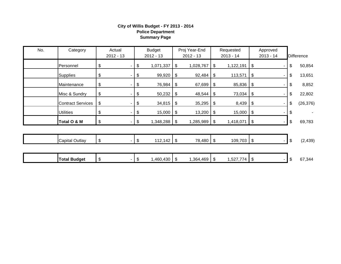#### **City of Willis Budget - FY 2013 - 2014 Police Department Summary Page**

| No. | Category                 | Actual<br>$2012 - 13$          | <b>Budget</b><br>$2012 - 13$ |                            | Proj Year-End<br>$2012 - 13$ |     | Requested<br>2013 - 14 |                            | Approved<br>$2013 - 14$ | <b>Difference</b> |
|-----|--------------------------|--------------------------------|------------------------------|----------------------------|------------------------------|-----|------------------------|----------------------------|-------------------------|-------------------|
|     | Personnel                | \$<br>۰                        | \$<br>1,071,337              | \$                         | 1,028,767                    | \$  | 1,122,191              | \$                         |                         | \$<br>50,854      |
|     | <b>Supplies</b>          | \$<br>۰                        | \$<br>99,920                 | \$                         | 92,484                       | \$  | 113,571                | $\frac{1}{2}$              |                         | \$<br>13,651      |
|     | Maintenance              | \$                             | \$<br>76,984                 | \$                         | 67,699                       | \$  | 85,836                 | \$                         |                         | \$<br>8,852       |
|     | Misc & Sundry            | \$                             | \$<br>50,232                 | \$                         | 48,544                       | \$  | 73,034                 | $\boldsymbol{\mathsf{\$}}$ |                         | \$<br>22,802      |
|     | <b>Contract Services</b> | \$                             | \$<br>34,815                 | \$                         | 35,295                       | \$  | 8,439                  | \$                         |                         | \$<br>(26, 376)   |
|     | <b>Utilities</b>         | \$                             | \$<br>15,000                 | \$                         | 13,200                       | \$  | 15,000                 | $\sqrt{3}$                 |                         | \$                |
|     | Total O & M              | \$<br>$\overline{\phantom{a}}$ | \$<br>$1,348,288$ \$         |                            | 1,285,989                    | -\$ | $1,418,071$ \\$        |                            |                         | \$<br>69,783      |
|     |                          |                                |                              |                            |                              |     |                        |                            |                         |                   |
|     | <b>Capital Outlay</b>    | \$                             | \$<br>$112,142$ \$           |                            | 78,480                       | \$  | $109,703$ \$           |                            |                         | \$<br>(2, 439)    |
|     |                          |                                |                              |                            |                              |     |                        |                            |                         |                   |
|     | <b>Total Budget</b>      | \$<br>۰.                       | \$<br>1,460,430              | $\boldsymbol{\mathsf{\$}}$ | 1,364,469                    | \$  | 1,527,774              | $\frac{1}{2}$              |                         | \$<br>67,344      |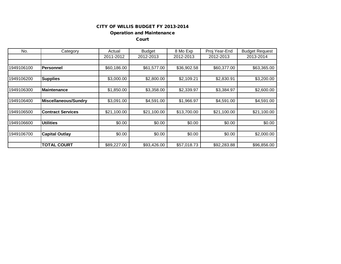## Operation and Maintenance

Court

| No.        | Category                 | Actual      | <b>Budget</b> | 8 Mo Exp    | Proj Year-End | <b>Budget Request</b> |
|------------|--------------------------|-------------|---------------|-------------|---------------|-----------------------|
|            |                          | 2011-2012   | 2012-2013     | 2012-2013   | 2012-2013     | 2013-2014             |
|            |                          |             |               |             |               |                       |
| 1949106100 | <b>IPersonnel</b>        | \$60,186.00 | \$61,577.00   | \$36,902.58 | \$60,377.00   | \$63,365.00           |
|            |                          |             |               |             |               |                       |
| 1949106200 | <b>Supplies</b>          | \$3,000.00  | \$2,800.00    | \$2,109.21  | \$2,830.91    | \$3,200.00            |
|            |                          |             |               |             |               |                       |
| 1949106300 | Maintenance              | \$1,850.00  | \$3,358.00    | \$2,339.97  | \$3,384.97    | \$2,600.00            |
|            |                          |             |               |             |               |                       |
| 1949106400 | Miscellaneous/Sundry     | \$3,091.00  | \$4,591.00    | \$1,966.97  | \$4,591.00    | \$4,591.00            |
|            |                          |             |               |             |               |                       |
| 1949106500 | <b>Contract Services</b> | \$21,100.00 | \$21,100.00   | \$13,700.00 | \$21,100.00   | \$21,100.00           |
|            |                          |             |               |             |               |                       |
| 1949106600 | <b>Utilities</b>         | \$0.00      | \$0.00        | \$0.00      | \$0.00        | \$0.00                |
|            |                          |             |               |             |               |                       |
| 1949106700 | <b>Capital Outlay</b>    | \$0.00      | \$0.00        | \$0.00      | \$0.00        | \$2,000.00            |
|            |                          |             |               |             |               |                       |
|            | <b>TOTAL COURT</b>       | \$89,227.00 | \$93,426.00   | \$57,018.73 | \$92,283.88   | \$96,856.00           |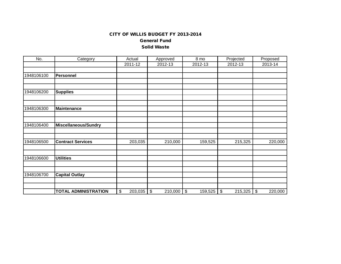General Fund

#### Solid Waste

| No.        | Category                    | Actual        | Approved      | 8 mo             | Projected     | Proposed                             |
|------------|-----------------------------|---------------|---------------|------------------|---------------|--------------------------------------|
|            |                             | 2011-12       | 2012-13       | 2012-13          | 2012-13       | 2013-14                              |
| 1948106100 | <b>Personnel</b>            |               |               |                  |               |                                      |
| 1948106200 | <b>Supplies</b>             |               |               |                  |               |                                      |
| 1948106300 | <b>Maintenance</b>          |               |               |                  |               |                                      |
| 1948106400 | <b>Miscellaneous/Sundry</b> |               |               |                  |               |                                      |
| 1948106500 | <b>Contract Services</b>    | 203,035       | 210,000       | 159,525          | 215,325       | 220,000                              |
| 1948106600 | <b>Utilities</b>            |               |               |                  |               |                                      |
| 1948106700 | <b>Capital Outlay</b>       |               |               |                  |               |                                      |
|            | <b>TOTAL ADMINISTRATION</b> | \$<br>203,035 | \$<br>210,000 | $\$\$<br>159,525 | \$<br>215,325 | $\boldsymbol{\mathsf{S}}$<br>220,000 |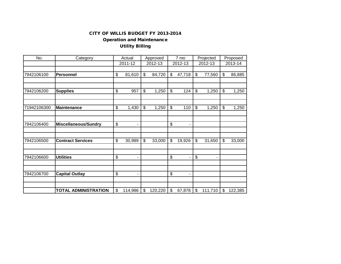## Operation and Maintenance Utility Billing

| No.         | Category                    | Actual        | Approved |         | 7 mo                     |                          | Projected     |         | Proposed |         |
|-------------|-----------------------------|---------------|----------|---------|--------------------------|--------------------------|---------------|---------|----------|---------|
|             |                             | 2011-12       |          | 2012-13 |                          | 2012-13                  |               | 2012-13 |          | 2013-14 |
| 7942106100  |                             | \$            | \$       |         | \$                       |                          | \$            |         | \$       |         |
|             | <b>Personnel</b>            | 81,610        |          | 84,720  |                          | 47,718                   |               | 77,560  |          | 86,885  |
|             |                             |               |          |         |                          |                          |               |         |          |         |
| 7942106200  | <b>Supplies</b>             | \$<br>957     | \$       | 1,250   | \$                       | 124                      | \$            | 1,250   | \$       | 1,250   |
|             |                             |               |          |         |                          |                          |               |         |          |         |
| 71942106300 | <b>Maintenance</b>          | \$<br>1,430   | \$       | 1,250   | \$                       | 110                      | $\frac{1}{2}$ | 1,250   | \$       | 1,250   |
|             |                             |               |          |         |                          |                          |               |         |          |         |
| 7942106400  | <b>Miscellaneous/Sundry</b> | \$<br>٠       |          |         | $\overline{\mathbf{e}}$  | $\overline{\phantom{a}}$ |               |         |          |         |
|             |                             |               |          |         |                          |                          |               |         |          |         |
|             |                             |               |          |         |                          |                          |               |         |          |         |
| 7942106500  | <b>Contract Services</b>    | \$<br>30,989  | \$       | 33,000  | \$                       | 19,926                   | \$            | 31,650  | \$       | 33,000  |
|             |                             |               |          |         |                          |                          |               |         |          |         |
| 7942106600  | <b>Utilities</b>            | \$            |          |         | \$                       |                          | \$            |         |          |         |
|             |                             |               |          |         |                          |                          |               |         |          |         |
| 7942106700  | <b>Capital Outlay</b>       | \$            |          |         | $\overline{\mathcal{G}}$ | -                        |               |         |          |         |
|             |                             |               |          |         |                          |                          |               |         |          |         |
|             | <b>TOTAL ADMINISTRATION</b> | \$<br>114,986 | \$       | 120,220 | \$                       | 67,878                   | \$            | 111,710 | \$       | 122,385 |
|             |                             |               |          |         |                          |                          |               |         |          |         |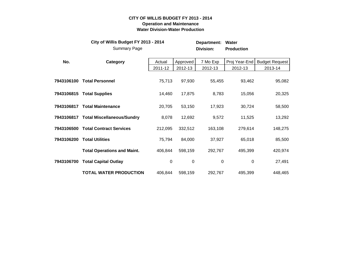## **CITY OF WILLIS BUDGET FY 2013 - 2014 Operation and Maintenance Water Division-Water Production**

|            | City of Willis Budget FY 2013 - 2014<br><b>Summary Page</b> |             |             | Department:<br>Division: | Water<br><b>Production</b> |                       |
|------------|-------------------------------------------------------------|-------------|-------------|--------------------------|----------------------------|-----------------------|
| No.        | Category                                                    | Actual      | Approved    | 7 Mo Exp                 | Proj Year-End              | <b>Budget Request</b> |
|            |                                                             | 2011-12     | 2012-13     | 2012-13                  | 2012-13                    | 2013-14               |
| 7943106100 | <b>Total Personnel</b>                                      | 75,713      | 97,930      | 55,455                   | 93,462                     | 95,082                |
|            | 7943106815 Total Supplies                                   | 14,460      | 17,875      | 8,783                    | 15,056                     | 20,325                |
|            | 7943106817 Total Maintenance                                | 20,705      | 53,150      | 17,923                   | 30,724                     | 58,500                |
|            | 7943106817 Total Miscellaneous/Sundry                       | 8,078       | 12,692      | 9,572                    | 11,525                     | 13,292                |
| 7943106500 | <b>Total Contract Services</b>                              | 212,095     | 332,512     | 163,108                  | 279,614                    | 148,275               |
| 7943106200 | <b>Total Utilities</b>                                      | 75,794      | 84,000      | 37,927                   | 65,018                     | 85,500                |
|            | <b>Total Operations and Maint.</b>                          | 406,844     | 598,159     | 292,767                  | 495,399                    | 420,974               |
| 7943106700 | <b>Total Capital Outlay</b>                                 | $\mathbf 0$ | $\mathbf 0$ | $\boldsymbol{0}$         | 0                          | 27,491                |
|            | <b>TOTAL WATER PRODUCTION</b>                               | 406,844     | 598,159     | 292,767                  | 495,399                    | 448,465               |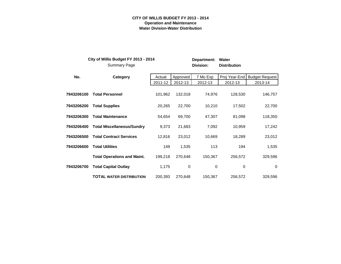#### **CITY OF WILLIS BUDGET FY 2013 - 2014 Operation and Maintenance Water Division-Water Distribution**

|            | City of Willis Budget FY 2013 - 2014<br><b>Summary Page</b> |         |          | Department:<br>Division: | Water<br><b>Distribution</b> |                       |
|------------|-------------------------------------------------------------|---------|----------|--------------------------|------------------------------|-----------------------|
| No.        | Category                                                    | Actual  | Approved | 7 Mo Exp                 | Proj Year-End                | <b>Budget Request</b> |
|            |                                                             | 2011-12 | 2012-13  | 2012-13                  | 2012-13                      | 2013-14               |
| 7943206100 | <b>Total Personnel</b>                                      | 101,962 | 132,018  | 74,976                   | 128,530                      | 146,757               |
| 7943206200 | <b>Total Supplies</b>                                       | 20,265  | 22,700   | 10,210                   | 17,502                       | 22,700                |
| 7943206300 | <b>Total Maintenance</b>                                    | 54,654  | 69,700   | 47,307                   | 81,098                       | 118,350               |
| 7943206400 | <b>Total Miscellaneous/Sundry</b>                           | 9,373   | 21,683   | 7,092                    | 10,959                       | 17,242                |
| 7943206500 | <b>Total Contract Services</b>                              | 12,816  | 23,012   | 10,669                   | 18,289                       | 23,012                |
| 7943206600 | <b>Total Utilities</b>                                      | 149     | 1,535    | 113                      | 194                          | 1,535                 |
|            | <b>Total Operations and Maint.</b>                          | 199,218 | 270,648  | 150,367                  | 256,572                      | 329,596               |
| 7943206700 | <b>Total Capital Outlay</b>                                 | 1,175   | 0        | 0                        | 0                            | $\mathbf 0$           |
|            | <b>TOTAL WATER DISTRIBUTION</b>                             | 200,393 | 270,648  | 150,367                  | 256,572                      | 329,596               |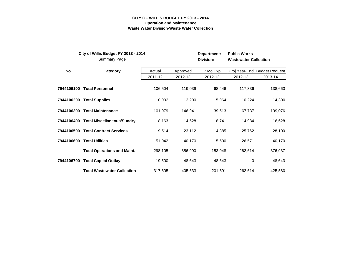#### **CITY OF WILLIS BUDGET FY 2013 - 2014 Operation and Maintenance Waste Water Division-Waste Water Collection**

|            | City of Willis Budget FY 2013 - 2014<br><b>Summary Page</b> |         |          | Department:<br>Division: | <b>Public Works</b><br><b>Wastewater Collection</b> |                              |
|------------|-------------------------------------------------------------|---------|----------|--------------------------|-----------------------------------------------------|------------------------------|
| No.        | Category                                                    | Actual  | Approved | 7 Mo Exp                 |                                                     | Proj Year-End Budget Request |
|            |                                                             | 2011-12 | 2012-13  | 2012-13                  | 2012-13                                             | 2013-14                      |
|            | 7944106100 Total Personnel                                  | 106,504 | 119,039  | 68,446                   | 117,336                                             | 138,663                      |
|            | 7944106200 Total Supplies                                   | 10,902  | 13,200   | 5,964                    | 10,224                                              | 14,300                       |
| 7944106300 | <b>Total Maintenance</b>                                    | 101,979 | 146,941  | 39,513                   | 67,737                                              | 139,076                      |
|            | 7944106400 Total Miscellaneous/Sundry                       | 8,163   | 14,528   | 8,741                    | 14,984                                              | 16,628                       |
| 7944106500 | <b>Total Contract Services</b>                              | 19,514  | 23,112   | 14,885                   | 25,762                                              | 28,100                       |
| 7944106600 | <b>Total Utilities</b>                                      | 51,042  | 40,170   | 15,500                   | 26,571                                              | 40,170                       |
|            | <b>Total Operations and Maint.</b>                          | 298,105 | 356,990  | 153,048                  | 262,614                                             | 376,937                      |
|            | 7944106700 Total Capital Outlay                             | 19,500  | 48,643   | 48,643                   | $\mathbf 0$                                         | 48,643                       |
|            | <b>Total Wastewater Collection</b>                          | 317,605 | 405,633  | 201,691                  | 262,614                                             | 425,580                      |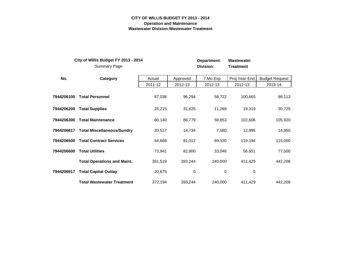#### **CITY OF WILLIS BUDGET FY 2013 - 2014 Operation and Maintenance Wastewater Division-Wastewater Treatment**

|            | City of Willis Budget FY 2013 - 2014<br><b>Summary Page</b> |         |          | Department:<br>Division: | Wastewater<br><b>Treatment</b> |                       |
|------------|-------------------------------------------------------------|---------|----------|--------------------------|--------------------------------|-----------------------|
| No.        | Category                                                    | Actual  | Approved | 7 Mo Exp                 | Proj Year-End                  | <b>Budget Request</b> |
|            |                                                             | 2011-12 | 2012-13  | 2012-13                  | 2012-13                        | 2013-14               |
| 7944206100 | <b>Total Personnel</b>                                      | 87,038  | 96,294   | 58,722                   | 100,665                        | 98,113                |
| 7944206200 | <b>Total Supplies</b>                                       | 25,215  | 31,625   | 11,269                   | 19,319                         | 30,725                |
| 7944206300 | <b>Total Maintenance</b>                                    | 80,140  | 86,779   | 59,853                   | 102,606                        | 105,920               |
| 7944206817 | <b>Total Miscellaneous/Sundry</b>                           | 20,517  | 14,734   | 7,580                    | 12,995                         | 14,950                |
| 7944206500 | <b>Total Contract Services</b>                              | 64,668  | 81,012   | 69,530                   | 119,194                        | 115,000               |
| 7944206600 | <b>Total Utilities</b>                                      | 73,941  | 82,800   | 33,046                   | 56,651                         | 77,500                |
|            | <b>Total Operations and Maint.</b>                          | 351,519 | 393,244  | 240,000                  | 411,429                        | 442,208               |
| 7944206917 | <b>Total Capital Outlay</b>                                 | 20,675  | 0        | 0                        | 0                              |                       |
|            | <b>Total Wastewater Treatment</b>                           | 372,194 | 393,244  | 240,000                  | 411,429                        | 442,208               |